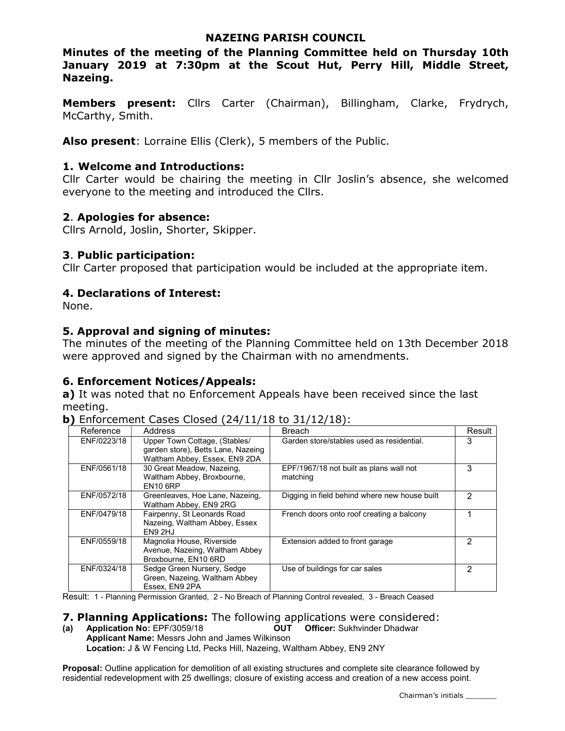### NAZEING PARISH COUNCIL

Minutes of the meeting of the Planning Committee held on Thursday 10th January 2019 at 7:30pm at the Scout Hut, Perry Hill, Middle Street, Nazeing.

Members present: Cllrs Carter (Chairman), Billingham, Clarke, Frydrych, McCarthy, Smith.

Also present: Lorraine Ellis (Clerk), 5 members of the Public.

### 1. Welcome and Introductions:

Cllr Carter would be chairing the meeting in Cllr Joslin's absence, she welcomed everyone to the meeting and introduced the Cllrs.

### 2. Apologies for absence:

Cllrs Arnold, Joslin, Shorter, Skipper.

### 3. Public participation:

Cllr Carter proposed that participation would be included at the appropriate item.

### 4. Declarations of Interest:

None.

### 5. Approval and signing of minutes:

The minutes of the meeting of the Planning Committee held on 13th December 2018 were approved and signed by the Chairman with no amendments.

## 6. Enforcement Notices/Appeals:

a) It was noted that no Enforcement Appeals have been received since the last meeting.

| Reference   | Address                                                                                              | <b>Breach</b>                                       | Result |
|-------------|------------------------------------------------------------------------------------------------------|-----------------------------------------------------|--------|
| ENF/0223/18 | Upper Town Cottage, (Stables/<br>garden store), Betts Lane, Nazeing<br>Waltham Abbey, Essex, EN9 2DA | Garden store/stables used as residential.           | 3      |
| ENF/0561/18 | 30 Great Meadow, Nazeing,<br>Waltham Abbey, Broxbourne,<br><b>EN10 6RP</b>                           | EPF/1967/18 not built as plans wall not<br>matching | 3      |
| ENF/0572/18 | Greenleaves, Hoe Lane, Nazeing,<br>Waltham Abbey, EN9 2RG                                            | Digging in field behind where new house built       | 2      |
| ENF/0479/18 | Fairpenny, St Leonards Road<br>Nazeing, Waltham Abbey, Essex<br>EN9 2HJ                              | French doors onto roof creating a balcony           |        |
| ENF/0559/18 | Magnolia House, Riverside<br>Avenue, Nazeing, Waltham Abbey<br>Broxbourne, EN10 6RD                  | Extension added to front garage                     | 2      |
| ENF/0324/18 | Sedge Green Nursery, Sedge<br>Green, Nazeing, Waltham Abbey<br>Essex, EN9 2PA                        | Use of buildings for car sales                      | 2      |

Result: 1 - Planning Permission Granted, 2 - No Breach of Planning Control revealed, 3 - Breach Ceased

### **7. Planning Applications:** The following applications were considered:

(a) Application No: EPF/3059/18 OUT Officer: Sukhvinder Dhadwar Applicant Name: Messrs John and James Wilkinson Location: J & W Fencing Ltd, Pecks Hill, Nazeing, Waltham Abbey, EN9 2NY

Proposal: Outline application for demolition of all existing structures and complete site clearance followed by residential redevelopment with 25 dwellings; closure of existing access and creation of a new access point.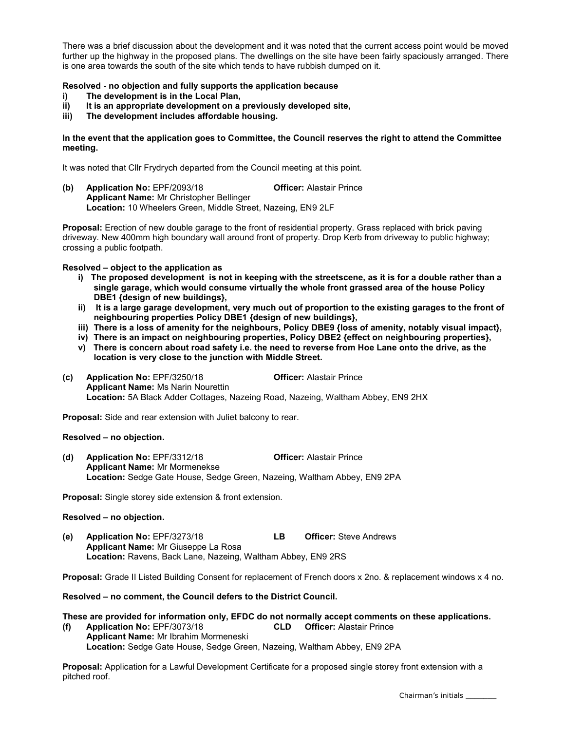There was a brief discussion about the development and it was noted that the current access point would be moved further up the highway in the proposed plans. The dwellings on the site have been fairly spaciously arranged. There is one area towards the south of the site which tends to have rubbish dumped on it.

#### Resolved - no objection and fully supports the application because

- i) The development is in the Local Plan,<br>ii) It is an appropriate development on a
- It is an appropriate development on a previously developed site,
- iii) The development includes affordable housing.

#### In the event that the application goes to Committee, the Council reserves the right to attend the Committee meeting.

It was noted that Cllr Frydrych departed from the Council meeting at this point.

(b) Application No: EPF/2093/18 Officer: Alastair Prince Applicant Name: Mr Christopher Bellinger Location: 10 Wheelers Green, Middle Street, Nazeing, EN9 2LF

Proposal: Erection of new double garage to the front of residential property. Grass replaced with brick paving driveway. New 400mm high boundary wall around front of property. Drop Kerb from driveway to public highway; crossing a public footpath.

#### Resolved – object to the application as

- i) The proposed development is not in keeping with the streetscene, as it is for a double rather than a single garage, which would consume virtually the whole front grassed area of the house Policy DBE1 {design of new buildings},
- ii) It is a large garage development, very much out of proportion to the existing garages to the front of neighbouring properties Policy DBE1 {design of new buildings},
- iii) There is a loss of amenity for the neighbours, Policy DBE9 {loss of amenity, notably visual impact},
- iv) There is an impact on neighbouring properties, Policy DBE2 {effect on neighbouring properties},
- v) There is concern about road safety i.e. the need to reverse from Hoe Lane onto the drive, as the location is very close to the junction with Middle Street.
- (c) Application No: EPF/3250/18 Officer: Alastair Prince Applicant Name: Ms Narin Nourettin Location: 5A Black Adder Cottages, Nazeing Road, Nazeing, Waltham Abbey, EN9 2HX

Proposal: Side and rear extension with Juliet balcony to rear.

Resolved – no objection.

(d) Application No: EPF/3312/18 Officer: Alastair Prince Applicant Name: Mr Mormenekse Location: Sedge Gate House, Sedge Green, Nazeing, Waltham Abbey, EN9 2PA

Proposal: Single storey side extension & front extension.

#### Resolved – no objection.

(e) Application No: EPF/3273/18 LB Officer: Steve Andrews Applicant Name: Mr Giuseppe La Rosa Location: Ravens, Back Lane, Nazeing, Waltham Abbey, EN9 2RS

Proposal: Grade II Listed Building Consent for replacement of French doors x 2no. & replacement windows x 4 no.

Resolved – no comment, the Council defers to the District Council.

#### These are provided for information only, EFDC do not normally accept comments on these applications. (f) Application No: EPF/3073/18 CLD Officer: Alastair Prince Applicant Name: Mr Ibrahim Mormeneski

Location: Sedge Gate House, Sedge Green, Nazeing, Waltham Abbey, EN9 2PA

Proposal: Application for a Lawful Development Certificate for a proposed single storey front extension with a pitched roof.